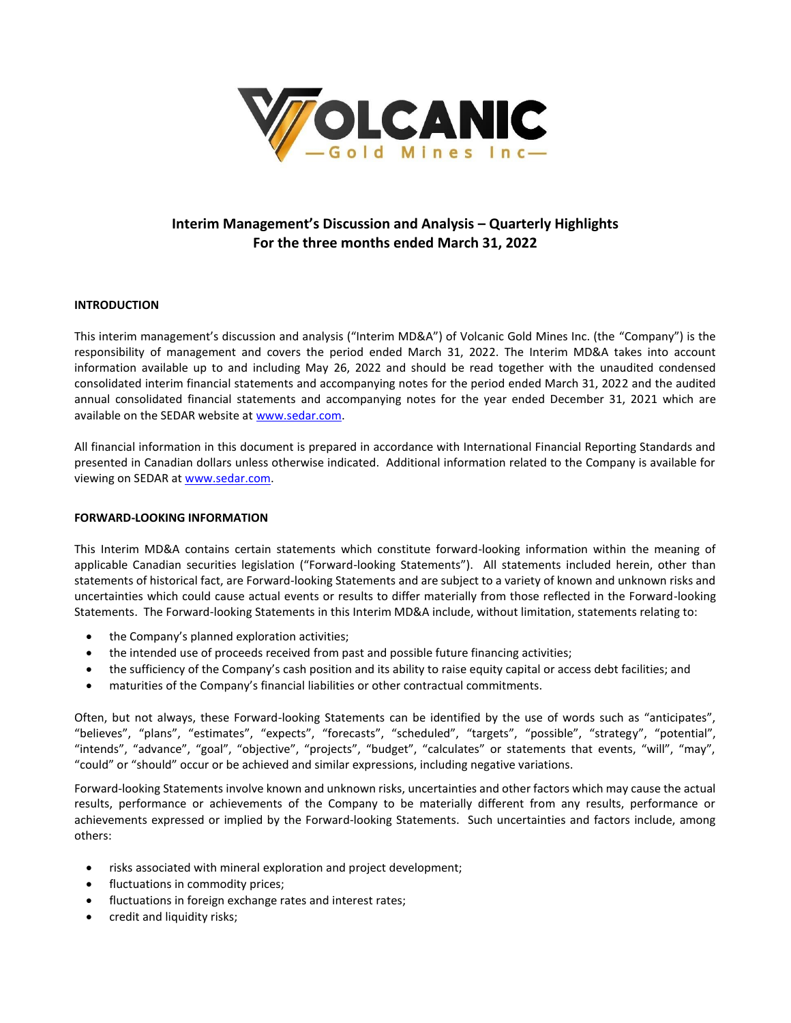

# **Interim Management's Discussion and Analysis – Quarterly Highlights For the three months ended March 31, 2022**

# **INTRODUCTION**

This interim management's discussion and analysis ("Interim MD&A") of Volcanic Gold Mines Inc. (the "Company") is the responsibility of management and covers the period ended March 31, 2022. The Interim MD&A takes into account information available up to and including May 26, 2022 and should be read together with the unaudited condensed consolidated interim financial statements and accompanying notes for the period ended March 31, 2022 and the audited annual consolidated financial statements and accompanying notes for the year ended December 31, 2021 which are available on the SEDAR website at [www.sedar.com.](http://www.sedar.com/)

All financial information in this document is prepared in accordance with International Financial Reporting Standards and presented in Canadian dollars unless otherwise indicated. Additional information related to the Company is available for viewing on SEDAR at [www.sedar.com.](http://www.sedar.com/)

# **FORWARD-LOOKING INFORMATION**

This Interim MD&A contains certain statements which constitute forward-looking information within the meaning of applicable Canadian securities legislation ("Forward-looking Statements"). All statements included herein, other than statements of historical fact, are Forward-looking Statements and are subject to a variety of known and unknown risks and uncertainties which could cause actual events or results to differ materially from those reflected in the Forward-looking Statements. The Forward-looking Statements in this Interim MD&A include, without limitation, statements relating to:

- the Company's planned exploration activities;
- the intended use of proceeds received from past and possible future financing activities;
- the sufficiency of the Company's cash position and its ability to raise equity capital or access debt facilities; and
- maturities of the Company's financial liabilities or other contractual commitments.

Often, but not always, these Forward-looking Statements can be identified by the use of words such as "anticipates", "believes", "plans", "estimates", "expects", "forecasts", "scheduled", "targets", "possible", "strategy", "potential", "intends", "advance", "goal", "objective", "projects", "budget", "calculates" or statements that events, "will", "may", "could" or "should" occur or be achieved and similar expressions, including negative variations.

Forward-looking Statements involve known and unknown risks, uncertainties and other factors which may cause the actual results, performance or achievements of the Company to be materially different from any results, performance or achievements expressed or implied by the Forward-looking Statements. Such uncertainties and factors include, among others:

- risks associated with mineral exploration and project development;
- fluctuations in commodity prices;
- fluctuations in foreign exchange rates and interest rates;
- credit and liquidity risks;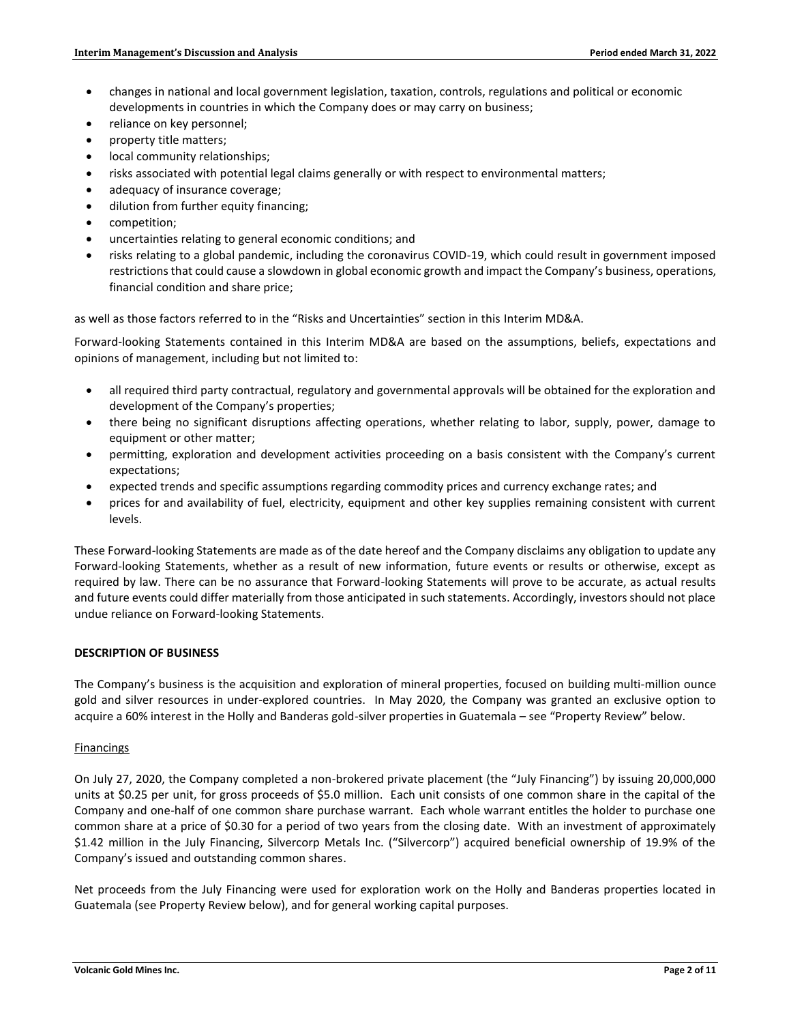- changes in national and local government legislation, taxation, controls, regulations and political or economic developments in countries in which the Company does or may carry on business;
- reliance on key personnel;
- property title matters;
- local community relationships;
- risks associated with potential legal claims generally or with respect to environmental matters;
- adequacy of insurance coverage;
- dilution from further equity financing;
- competition;
- uncertainties relating to general economic conditions; and
- risks relating to a global pandemic, including the coronavirus COVID-19, which could result in government imposed restrictions that could cause a slowdown in global economic growth and impact the Company's business, operations, financial condition and share price;

as well as those factors referred to in the "Risks and Uncertainties" section in this Interim MD&A.

Forward-looking Statements contained in this Interim MD&A are based on the assumptions, beliefs, expectations and opinions of management, including but not limited to:

- all required third party contractual, regulatory and governmental approvals will be obtained for the exploration and development of the Company's properties;
- there being no significant disruptions affecting operations, whether relating to labor, supply, power, damage to equipment or other matter;
- permitting, exploration and development activities proceeding on a basis consistent with the Company's current expectations;
- expected trends and specific assumptions regarding commodity prices and currency exchange rates; and
- prices for and availability of fuel, electricity, equipment and other key supplies remaining consistent with current levels.

These Forward-looking Statements are made as of the date hereof and the Company disclaims any obligation to update any Forward-looking Statements, whether as a result of new information, future events or results or otherwise, except as required by law. There can be no assurance that Forward-looking Statements will prove to be accurate, as actual results and future events could differ materially from those anticipated in such statements. Accordingly, investors should not place undue reliance on Forward-looking Statements.

# **DESCRIPTION OF BUSINESS**

The Company's business is the acquisition and exploration of mineral properties, focused on building multi-million ounce gold and silver resources in under-explored countries. In May 2020, the Company was granted an exclusive option to acquire a 60% interest in the Holly and Banderas gold-silver properties in Guatemala – see "Property Review" below.

### Financings

On July 27, 2020, the Company completed a non-brokered private placement (the "July Financing") by issuing 20,000,000 units at \$0.25 per unit, for gross proceeds of \$5.0 million. Each unit consists of one common share in the capital of the Company and one-half of one common share purchase warrant. Each whole warrant entitles the holder to purchase one common share at a price of \$0.30 for a period of two years from the closing date. With an investment of approximately \$1.42 million in the July Financing, Silvercorp Metals Inc. ("Silvercorp") acquired beneficial ownership of 19.9% of the Company's issued and outstanding common shares.

Net proceeds from the July Financing were used for exploration work on the Holly and Banderas properties located in Guatemala (see Property Review below), and for general working capital purposes.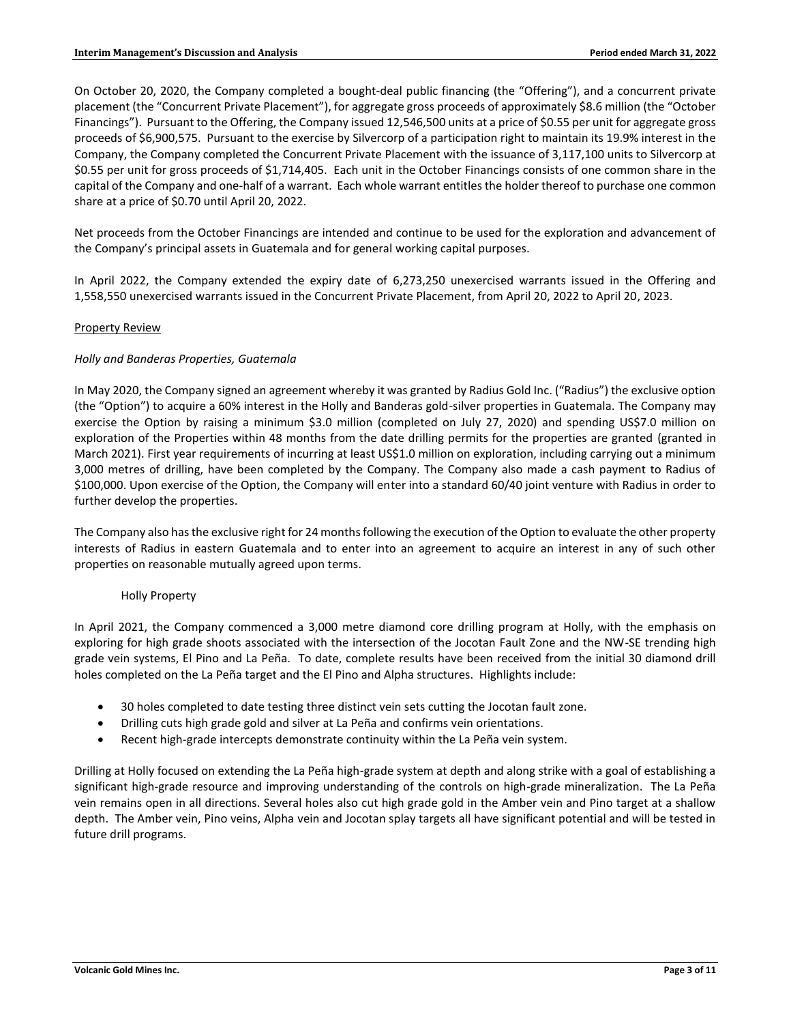On October 20, 2020, the Company completed a bought-deal public financing (the "Offering"), and a concurrent private placement (the "Concurrent Private Placement"), for aggregate gross proceeds of approximately \$8.6 million (the "October Financings"). Pursuant to the Offering, the Company issued 12,546,500 units at a price of \$0.55 per unit for aggregate gross proceeds of \$6,900,575. Pursuant to the exercise by Silvercorp of a participation right to maintain its 19.9% interest in the Company, the Company completed the Concurrent Private Placement with the issuance of 3,117,100 units to Silvercorp at \$0.55 per unit for gross proceeds of \$1,714,405. Each unit in the October Financings consists of one common share in the capital of the Company and one-half of a warrant. Each whole warrant entitles the holder thereof to purchase one common share at a price of \$0.70 until April 20, 2022.

Net proceeds from the October Financings are intended and continue to be used for the exploration and advancement of the Company's principal assets in Guatemala and for general working capital purposes.

In April 2022, the Company extended the expiry date of 6,273,250 unexercised warrants issued in the Offering and 1,558,550 unexercised warrants issued in the Concurrent Private Placement, from April 20, 2022 to April 20, 2023.

# Property Review

# *Holly and Banderas Properties, Guatemala*

In May 2020, the Company signed an agreement whereby it was granted by Radius Gold Inc. ("Radius") the exclusive option (the "Option") to acquire a 60% interest in the Holly and Banderas gold-silver properties in Guatemala. The Company may exercise the Option by raising a minimum \$3.0 million (completed on July 27, 2020) and spending US\$7.0 million on exploration of the Properties within 48 months from the date drilling permits for the properties are granted (granted in March 2021). First year requirements of incurring at least US\$1.0 million on exploration, including carrying out a minimum 3,000 metres of drilling, have been completed by the Company. The Company also made a cash payment to Radius of \$100,000. Upon exercise of the Option, the Company will enter into a standard 60/40 joint venture with Radius in order to further develop the properties.

The Company also has the exclusive right for 24 months following the execution of the Option to evaluate the other property interests of Radius in eastern Guatemala and to enter into an agreement to acquire an interest in any of such other properties on reasonable mutually agreed upon terms.

### Holly Property

In April 2021, the Company commenced a 3,000 metre diamond core drilling program at Holly, with the emphasis on exploring for high grade shoots associated with the intersection of the Jocotan Fault Zone and the NW-SE trending high grade vein systems, El Pino and La Peña. To date, complete results have been received from the initial 30 diamond drill holes completed on the La Peña target and the El Pino and Alpha structures. Highlights include:

- 30 holes completed to date testing three distinct vein sets cutting the Jocotan fault zone.
- Drilling cuts high grade gold and silver at La Peña and confirms vein orientations.
- Recent high-grade intercepts demonstrate continuity within the La Peña vein system.

Drilling at Holly focused on extending the La Peña high-grade system at depth and along strike with a goal of establishing a significant high-grade resource and improving understanding of the controls on high-grade mineralization. The La Peña vein remains open in all directions. Several holes also cut high grade gold in the Amber vein and Pino target at a shallow depth. The Amber vein, Pino veins, Alpha vein and Jocotan splay targets all have significant potential and will be tested in future drill programs.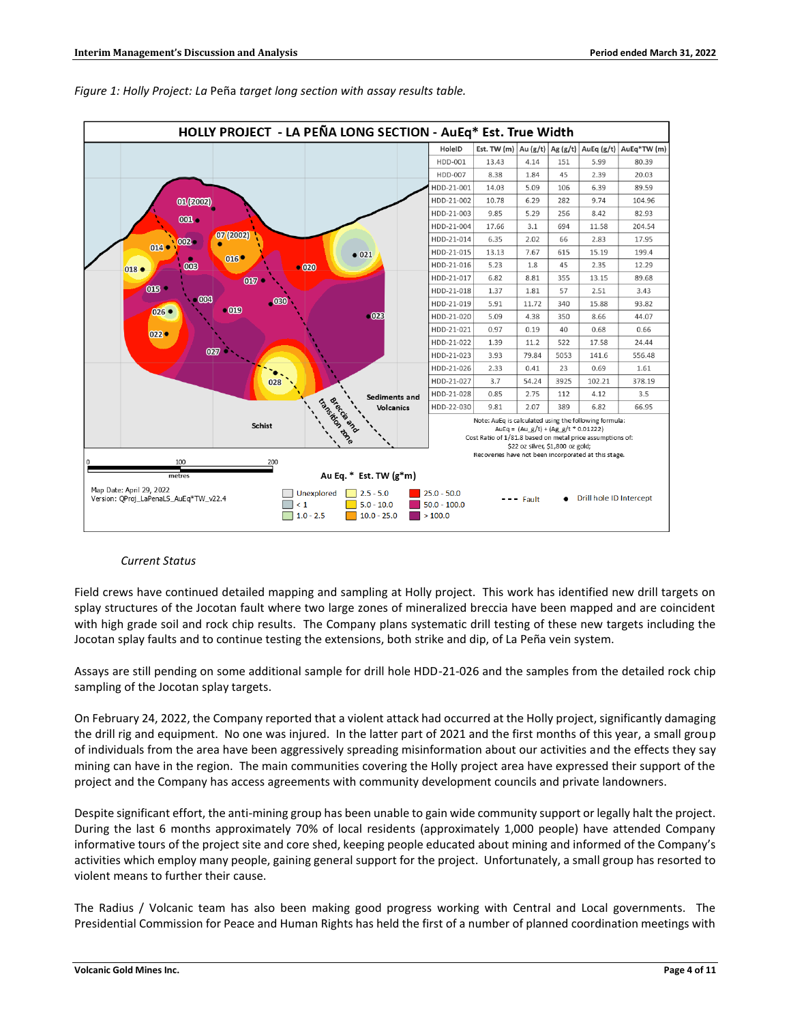

*Figure 1: Holly Project: La* Peña *target long section with assay results table.*

# *Current Status*

Field crews have continued detailed mapping and sampling at Holly project. This work has identified new drill targets on splay structures of the Jocotan fault where two large zones of mineralized breccia have been mapped and are coincident with high grade soil and rock chip results. The Company plans systematic drill testing of these new targets including the Jocotan splay faults and to continue testing the extensions, both strike and dip, of La Peña vein system.

Assays are still pending on some additional sample for drill hole HDD-21-026 and the samples from the detailed rock chip sampling of the Jocotan splay targets.

On February 24, 2022, the Company reported that a violent attack had occurred at the Holly project, significantly damaging the drill rig and equipment. No one was injured. In the latter part of 2021 and the first months of this year, a small group of individuals from the area have been aggressively spreading misinformation about our activities and the effects they say mining can have in the region. The main communities covering the Holly project area have expressed their support of the project and the Company has access agreements with community development councils and private landowners.

Despite significant effort, the anti-mining group has been unable to gain wide community support or legally halt the project. During the last 6 months approximately 70% of local residents (approximately 1,000 people) have attended Company informative tours of the project site and core shed, keeping people educated about mining and informed of the Company's activities which employ many people, gaining general support for the project. Unfortunately, a small group has resorted to violent means to further their cause.

The Radius / Volcanic team has also been making good progress working with Central and Local governments. The Presidential Commission for Peace and Human Rights has held the first of a number of planned coordination meetings with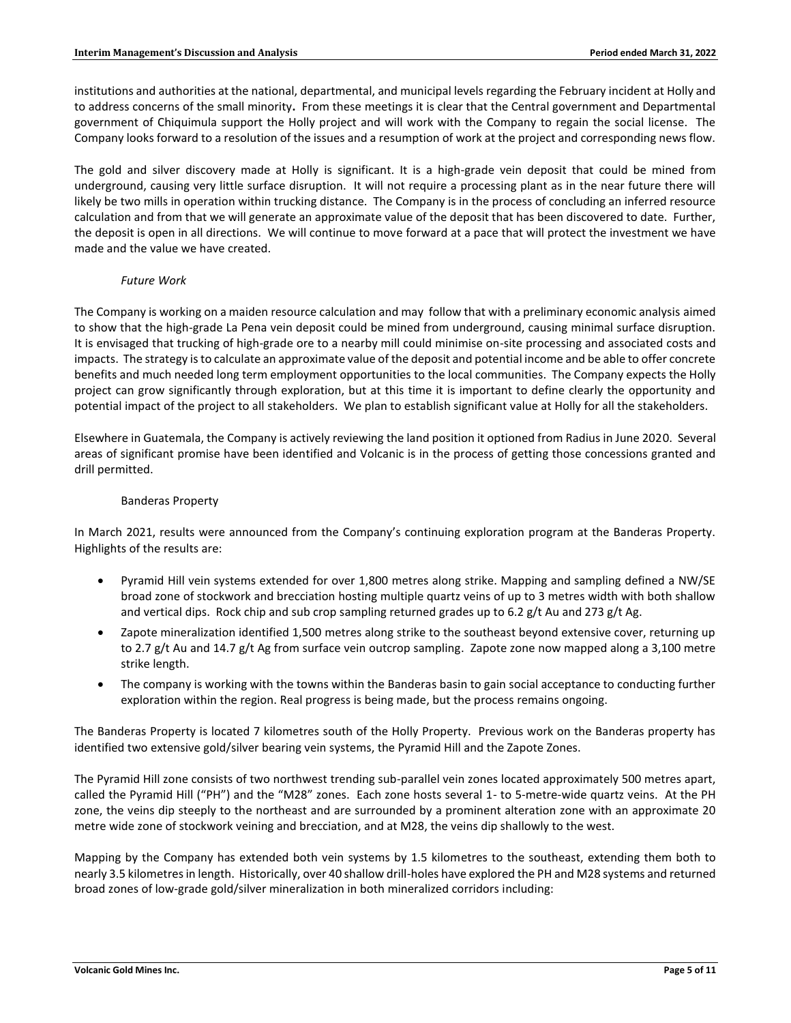institutions and authorities at the national, departmental, and municipal levels regarding the February incident at Holly and to address concerns of the small minority**.** From these meetings it is clear that the Central government and Departmental government of Chiquimula support the Holly project and will work with the Company to regain the social license. The Company looks forward to a resolution of the issues and a resumption of work at the project and corresponding news flow.

The gold and silver discovery made at Holly is significant. It is a high-grade vein deposit that could be mined from underground, causing very little surface disruption. It will not require a processing plant as in the near future there will likely be two mills in operation within trucking distance. The Company is in the process of concluding an inferred resource calculation and from that we will generate an approximate value of the deposit that has been discovered to date. Further, the deposit is open in all directions. We will continue to move forward at a pace that will protect the investment we have made and the value we have created.

# *Future Work*

The Company is working on a maiden resource calculation and may follow that with a preliminary economic analysis aimed to show that the high-grade La Pena vein deposit could be mined from underground, causing minimal surface disruption. It is envisaged that trucking of high-grade ore to a nearby mill could minimise on-site processing and associated costs and impacts. The strategy is to calculate an approximate value of the deposit and potential income and be able to offer concrete benefits and much needed long term employment opportunities to the local communities. The Company expects the Holly project can grow significantly through exploration, but at this time it is important to define clearly the opportunity and potential impact of the project to all stakeholders. We plan to establish significant value at Holly for all the stakeholders.

Elsewhere in Guatemala, the Company is actively reviewing the land position it optioned from Radius in June 2020. Several areas of significant promise have been identified and Volcanic is in the process of getting those concessions granted and drill permitted.

# Banderas Property

In March 2021, results were announced from the Company's continuing exploration program at the Banderas Property. Highlights of the results are:

- Pyramid Hill vein systems extended for over 1,800 metres along strike. Mapping and sampling defined a NW/SE broad zone of stockwork and brecciation hosting multiple quartz veins of up to 3 metres width with both shallow and vertical dips. Rock chip and sub crop sampling returned grades up to 6.2 g/t Au and 273 g/t Ag.
- Zapote mineralization identified 1,500 metres along strike to the southeast beyond extensive cover, returning up to 2.7 g/t Au and 14.7 g/t Ag from surface vein outcrop sampling. Zapote zone now mapped along a 3,100 metre strike length.
- The company is working with the towns within the Banderas basin to gain social acceptance to conducting further exploration within the region. Real progress is being made, but the process remains ongoing.

The Banderas Property is located 7 kilometres south of the Holly Property. Previous work on the Banderas property has identified two extensive gold/silver bearing vein systems, the Pyramid Hill and the Zapote Zones.

The Pyramid Hill zone consists of two northwest trending sub-parallel vein zones located approximately 500 metres apart, called the Pyramid Hill ("PH") and the "M28" zones. Each zone hosts several 1- to 5-metre-wide quartz veins. At the PH zone, the veins dip steeply to the northeast and are surrounded by a prominent alteration zone with an approximate 20 metre wide zone of stockwork veining and brecciation, and at M28, the veins dip shallowly to the west.

Mapping by the Company has extended both vein systems by 1.5 kilometres to the southeast, extending them both to nearly 3.5 kilometres in length. Historically, over 40 shallow drill-holes have explored the PH and M28 systems and returned broad zones of low-grade gold/silver mineralization in both mineralized corridors including: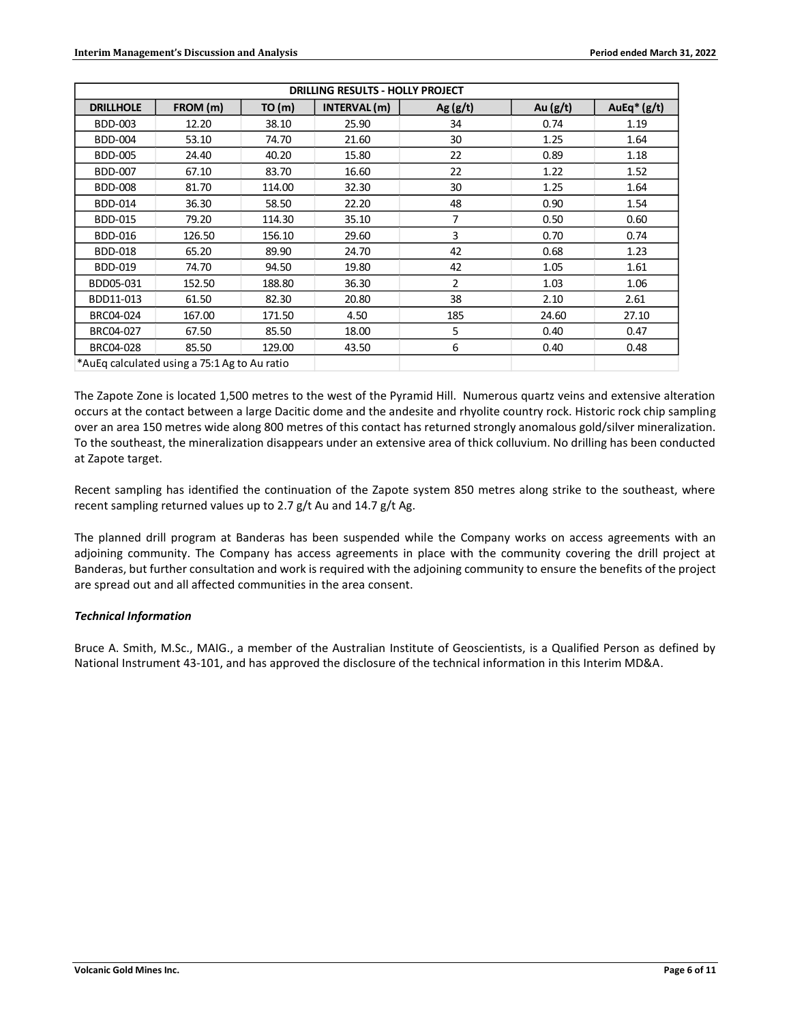|                  |                                              |        | <b>DRILLING RESULTS - HOLLY PROJECT</b> |                |            |               |
|------------------|----------------------------------------------|--------|-----------------------------------------|----------------|------------|---------------|
| <b>DRILLHOLE</b> | FROM (m)                                     | TO (m) | <b>INTERVAL (m)</b>                     | Ag $(g/t)$     | Au $(g/t)$ | AuEq $*(g/t)$ |
| <b>BDD-003</b>   | 12.20                                        | 38.10  | 25.90                                   | 34             | 0.74       | 1.19          |
| BDD-004          | 53.10                                        | 74.70  | 21.60                                   | 30             | 1.25       | 1.64          |
| <b>BDD-005</b>   | 24.40                                        | 40.20  | 15.80                                   | 22             | 0.89       | 1.18          |
| <b>BDD-007</b>   | 67.10                                        | 83.70  | 16.60                                   | 22             | 1.22       | 1.52          |
| <b>BDD-008</b>   | 81.70                                        | 114.00 | 32.30                                   | 30             | 1.25       | 1.64          |
| <b>BDD-014</b>   | 36.30                                        | 58.50  | 22.20                                   | 48             | 0.90       | 1.54          |
| <b>BDD-015</b>   | 79.20                                        | 114.30 | 35.10                                   | 7              | 0.50       | 0.60          |
| <b>BDD-016</b>   | 126.50                                       | 156.10 | 29.60                                   | 3              | 0.70       | 0.74          |
| <b>BDD-018</b>   | 65.20                                        | 89.90  | 24.70                                   | 42             | 0.68       | 1.23          |
| <b>BDD-019</b>   | 74.70                                        | 94.50  | 19.80                                   | 42             | 1.05       | 1.61          |
| BDD05-031        | 152.50                                       | 188.80 | 36.30                                   | $\overline{2}$ | 1.03       | 1.06          |
| BDD11-013        | 61.50                                        | 82.30  | 20.80                                   | 38             | 2.10       | 2.61          |
| BRC04-024        | 167.00                                       | 171.50 | 4.50                                    | 185            | 24.60      | 27.10         |
| BRC04-027        | 67.50                                        | 85.50  | 18.00                                   | 5              | 0.40       | 0.47          |
| BRC04-028        | 85.50                                        | 129.00 | 43.50                                   | 6              | 0.40       | 0.48          |
|                  | *AuEq calculated using a 75:1 Ag to Au ratio |        |                                         |                |            |               |

The Zapote Zone is located 1,500 metres to the west of the Pyramid Hill. Numerous quartz veins and extensive alteration occurs at the contact between a large Dacitic dome and the andesite and rhyolite country rock. Historic rock chip sampling over an area 150 metres wide along 800 metres of this contact has returned strongly anomalous gold/silver mineralization. To the southeast, the mineralization disappears under an extensive area of thick colluvium. No drilling has been conducted at Zapote target.

Recent sampling has identified the continuation of the Zapote system 850 metres along strike to the southeast, where recent sampling returned values up to 2.7 g/t Au and 14.7 g/t Ag.

The planned drill program at Banderas has been suspended while the Company works on access agreements with an adjoining community. The Company has access agreements in place with the community covering the drill project at Banderas, but further consultation and work is required with the adjoining community to ensure the benefits of the project are spread out and all affected communities in the area consent.

# *Technical Information*

Bruce A. Smith, M.Sc., MAIG., a member of the Australian Institute of Geoscientists, is a Qualified Person as defined by National Instrument 43-101, and has approved the disclosure of the technical information in this Interim MD&A.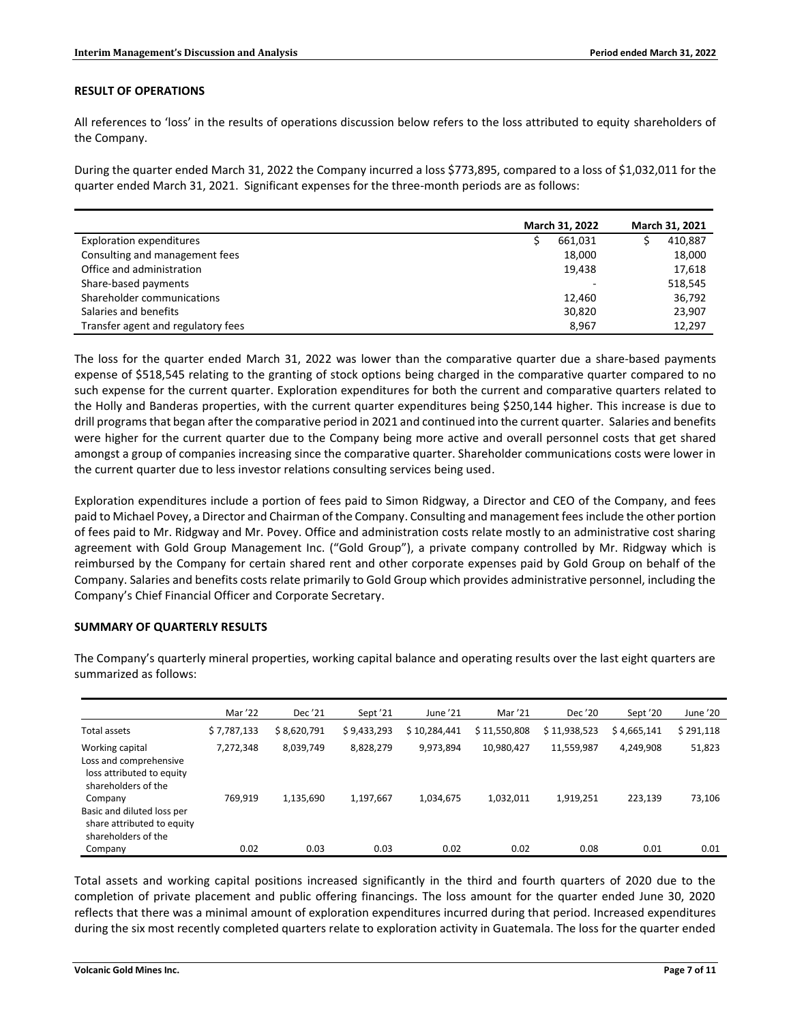### **RESULT OF OPERATIONS**

All references to 'loss' in the results of operations discussion below refers to the loss attributed to equity shareholders of the Company.

During the quarter ended March 31, 2022 the Company incurred a loss \$773,895, compared to a loss of \$1,032,011 for the quarter ended March 31, 2021. Significant expenses for the three-month periods are as follows:

|                                    | March 31, 2022 | March 31, 2021 |
|------------------------------------|----------------|----------------|
| <b>Exploration expenditures</b>    | 661.031        | 410,887        |
| Consulting and management fees     | 18,000         | 18,000         |
| Office and administration          | 19,438         | 17,618         |
| Share-based payments               |                | 518,545        |
| Shareholder communications         | 12,460         | 36,792         |
| Salaries and benefits              | 30,820         | 23,907         |
| Transfer agent and regulatory fees | 8.967          | 12.297         |

The loss for the quarter ended March 31, 2022 was lower than the comparative quarter due a share-based payments expense of \$518,545 relating to the granting of stock options being charged in the comparative quarter compared to no such expense for the current quarter. Exploration expenditures for both the current and comparative quarters related to the Holly and Banderas properties, with the current quarter expenditures being \$250,144 higher. This increase is due to drill programs that began after the comparative period in 2021 and continued into the current quarter. Salaries and benefits were higher for the current quarter due to the Company being more active and overall personnel costs that get shared amongst a group of companies increasing since the comparative quarter. Shareholder communications costs were lower in the current quarter due to less investor relations consulting services being used.

Exploration expenditures include a portion of fees paid to Simon Ridgway, a Director and CEO of the Company, and fees paid to Michael Povey, a Director and Chairman of the Company. Consulting and management fees include the other portion of fees paid to Mr. Ridgway and Mr. Povey. Office and administration costs relate mostly to an administrative cost sharing agreement with Gold Group Management Inc. ("Gold Group"), a private company controlled by Mr. Ridgway which is reimbursed by the Company for certain shared rent and other corporate expenses paid by Gold Group on behalf of the Company. Salaries and benefits costs relate primarily to Gold Group which provides administrative personnel, including the Company's Chief Financial Officer and Corporate Secretary.

# **SUMMARY OF QUARTERLY RESULTS**

|                                                                                               | Mar '22     | Dec '21     | Sept <sup>'21</sup> | June '21     | Mar '21      | Dec '20      | Sept '20    | June '20  |
|-----------------------------------------------------------------------------------------------|-------------|-------------|---------------------|--------------|--------------|--------------|-------------|-----------|
| <b>Total assets</b>                                                                           | \$7,787,133 | \$8,620,791 | \$9,433,293         | \$10,284,441 | \$11,550,808 | \$11,938,523 | \$4,665,141 | \$291,118 |
| Working capital<br>Loss and comprehensive<br>loss attributed to equity<br>shareholders of the | 7,272,348   | 8,039,749   | 8,828,279           | 9,973,894    | 10,980,427   | 11,559,987   | 4,249,908   | 51,823    |
| Company<br>Basic and diluted loss per<br>share attributed to equity<br>shareholders of the    | 769,919     | 1,135,690   | 1,197,667           | 1.034.675    | 1,032,011    | 1,919,251    | 223,139     | 73,106    |
| Company                                                                                       | 0.02        | 0.03        | 0.03                | 0.02         | 0.02         | 0.08         | 0.01        | 0.01      |

The Company's quarterly mineral properties, working capital balance and operating results over the last eight quarters are summarized as follows:

Total assets and working capital positions increased significantly in the third and fourth quarters of 2020 due to the completion of private placement and public offering financings. The loss amount for the quarter ended June 30, 2020 reflects that there was a minimal amount of exploration expenditures incurred during that period. Increased expenditures during the six most recently completed quarters relate to exploration activity in Guatemala. The loss for the quarter ended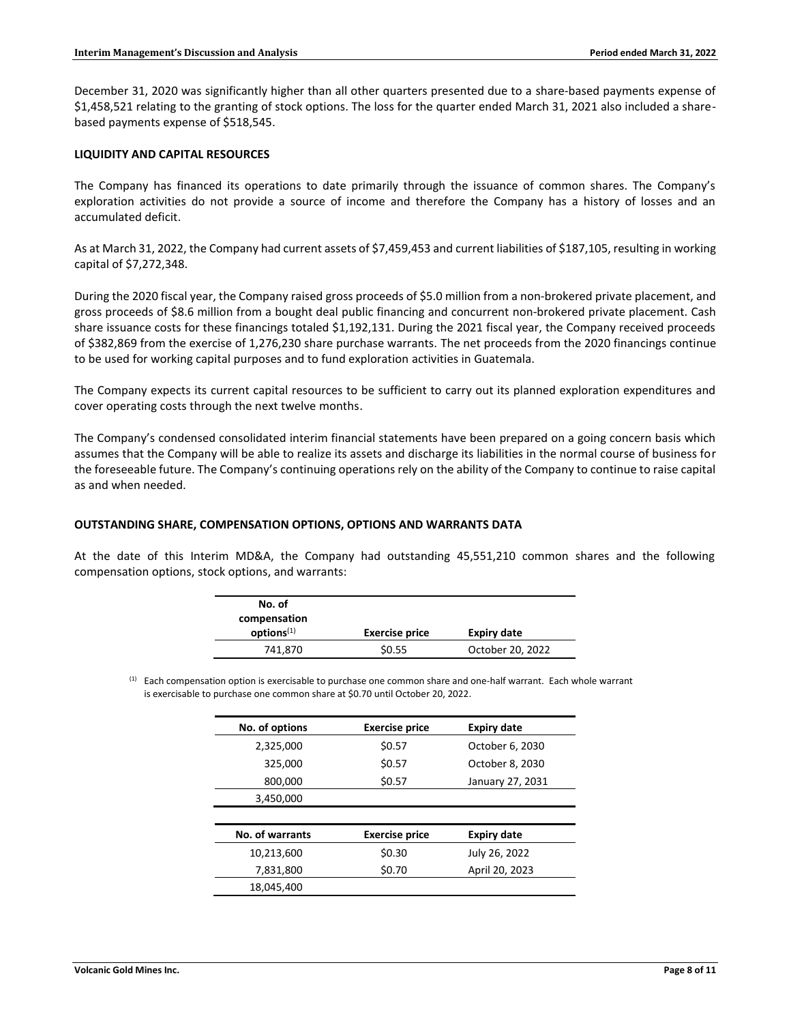December 31, 2020 was significantly higher than all other quarters presented due to a share-based payments expense of \$1,458,521 relating to the granting of stock options. The loss for the quarter ended March 31, 2021 also included a sharebased payments expense of \$518,545.

### **LIQUIDITY AND CAPITAL RESOURCES**

The Company has financed its operations to date primarily through the issuance of common shares. The Company's exploration activities do not provide a source of income and therefore the Company has a history of losses and an accumulated deficit.

As at March 31, 2022, the Company had current assets of \$7,459,453 and current liabilities of \$187,105, resulting in working capital of \$7,272,348.

During the 2020 fiscal year, the Company raised gross proceeds of \$5.0 million from a non-brokered private placement, and gross proceeds of \$8.6 million from a bought deal public financing and concurrent non-brokered private placement. Cash share issuance costs for these financings totaled \$1,192,131. During the 2021 fiscal year, the Company received proceeds of \$382,869 from the exercise of 1,276,230 share purchase warrants. The net proceeds from the 2020 financings continue to be used for working capital purposes and to fund exploration activities in Guatemala.

The Company expects its current capital resources to be sufficient to carry out its planned exploration expenditures and cover operating costs through the next twelve months.

The Company's condensed consolidated interim financial statements have been prepared on a going concern basis which assumes that the Company will be able to realize its assets and discharge its liabilities in the normal course of business for the foreseeable future. The Company's continuing operations rely on the ability of the Company to continue to raise capital as and when needed.

# **OUTSTANDING SHARE, COMPENSATION OPTIONS, OPTIONS AND WARRANTS DATA**

At the date of this Interim MD&A, the Company had outstanding 45,551,210 common shares and the following compensation options, stock options, and warrants:

| No. of<br>compensation |                       |                  |
|------------------------|-----------------------|------------------|
| options <sup>(1)</sup> | <b>Exercise price</b> | Expiry date      |
| 741,870                | \$0.55                | October 20, 2022 |

(1) Each compensation option is exercisable to purchase one common share and one-half warrant. Each whole warrant is exercisable to purchase one common share at \$0.70 until October 20, 2022.

| No. of options  | <b>Exercise price</b> | <b>Expiry date</b> |
|-----------------|-----------------------|--------------------|
| 2,325,000       | \$0.57                | October 6, 2030    |
| 325,000         | \$0.57                | October 8, 2030    |
| 800,000         | \$0.57                | January 27, 2031   |
| 3,450,000       |                       |                    |
|                 |                       |                    |
|                 |                       |                    |
| No. of warrants | <b>Exercise price</b> | <b>Expiry date</b> |
| 10,213,600      | \$0.30                | July 26, 2022      |
| 7,831,800       | \$0.70                | April 20, 2023     |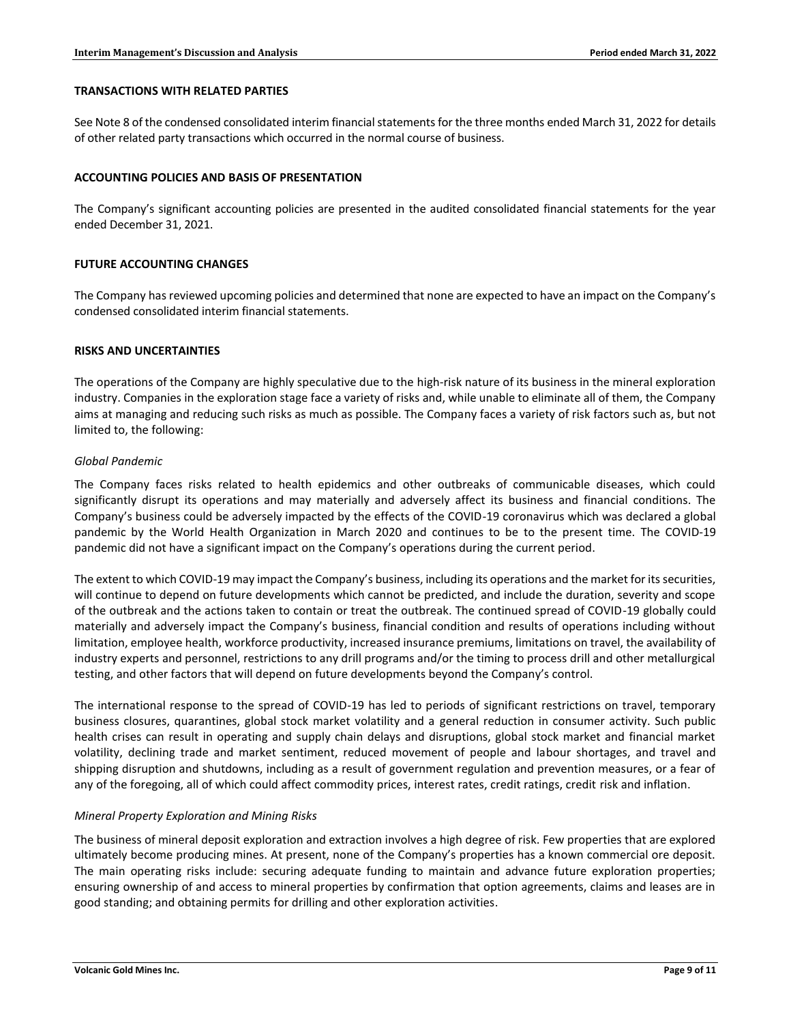### **TRANSACTIONS WITH RELATED PARTIES**

See Note 8 of the condensed consolidated interim financial statements for the three months ended March 31, 2022 for details of other related party transactions which occurred in the normal course of business.

### **ACCOUNTING POLICIES AND BASIS OF PRESENTATION**

The Company's significant accounting policies are presented in the audited consolidated financial statements for the year ended December 31, 2021.

### **FUTURE ACCOUNTING CHANGES**

The Company has reviewed upcoming policies and determined that none are expected to have an impact on the Company's condensed consolidated interim financial statements.

# **RISKS AND UNCERTAINTIES**

The operations of the Company are highly speculative due to the high-risk nature of its business in the mineral exploration industry. Companies in the exploration stage face a variety of risks and, while unable to eliminate all of them, the Company aims at managing and reducing such risks as much as possible. The Company faces a variety of risk factors such as, but not limited to, the following:

#### *Global Pandemic*

The Company faces risks related to health epidemics and other outbreaks of communicable diseases, which could significantly disrupt its operations and may materially and adversely affect its business and financial conditions. The Company's business could be adversely impacted by the effects of the COVID-19 coronavirus which was declared a global pandemic by the World Health Organization in March 2020 and continues to be to the present time. The COVID-19 pandemic did not have a significant impact on the Company's operations during the current period.

The extent to which COVID-19 may impact the Company's business, including its operations and the market for its securities, will continue to depend on future developments which cannot be predicted, and include the duration, severity and scope of the outbreak and the actions taken to contain or treat the outbreak. The continued spread of COVID-19 globally could materially and adversely impact the Company's business, financial condition and results of operations including without limitation, employee health, workforce productivity, increased insurance premiums, limitations on travel, the availability of industry experts and personnel, restrictions to any drill programs and/or the timing to process drill and other metallurgical testing, and other factors that will depend on future developments beyond the Company's control.

The international response to the spread of COVID-19 has led to periods of significant restrictions on travel, temporary business closures, quarantines, global stock market volatility and a general reduction in consumer activity. Such public health crises can result in operating and supply chain delays and disruptions, global stock market and financial market volatility, declining trade and market sentiment, reduced movement of people and labour shortages, and travel and shipping disruption and shutdowns, including as a result of government regulation and prevention measures, or a fear of any of the foregoing, all of which could affect commodity prices, interest rates, credit ratings, credit risk and inflation.

### *Mineral Property Exploration and Mining Risks*

The business of mineral deposit exploration and extraction involves a high degree of risk. Few properties that are explored ultimately become producing mines. At present, none of the Company's properties has a known commercial ore deposit. The main operating risks include: securing adequate funding to maintain and advance future exploration properties; ensuring ownership of and access to mineral properties by confirmation that option agreements, claims and leases are in good standing; and obtaining permits for drilling and other exploration activities.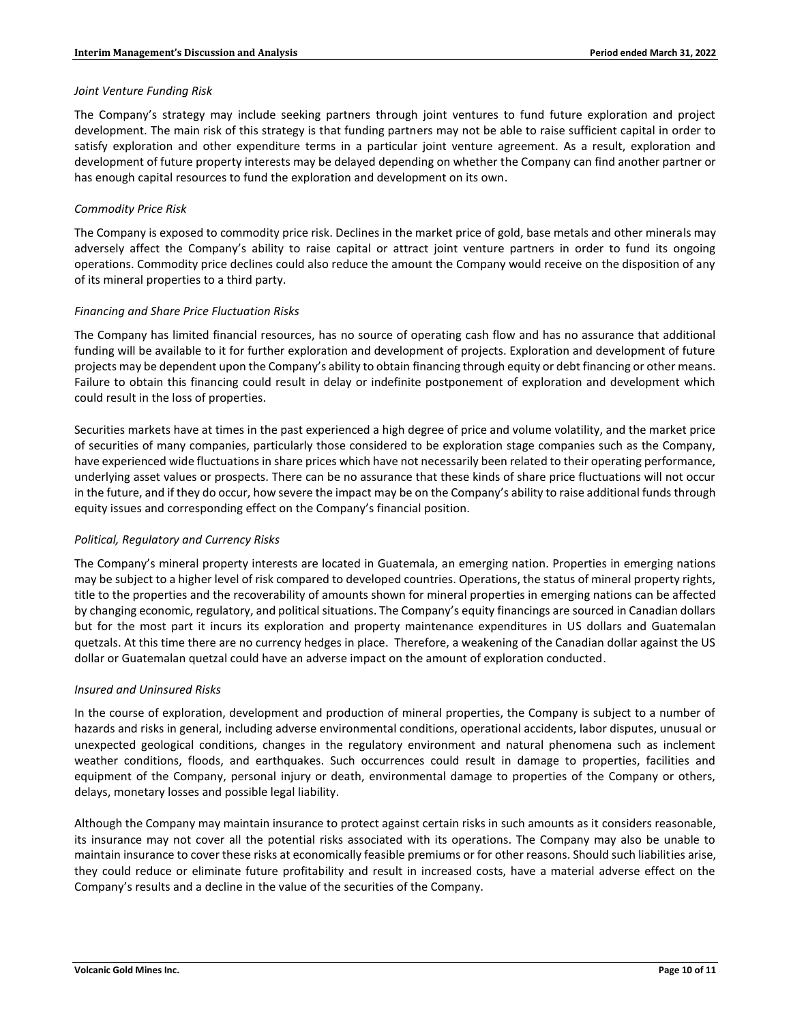### *Joint Venture Funding Risk*

The Company's strategy may include seeking partners through joint ventures to fund future exploration and project development. The main risk of this strategy is that funding partners may not be able to raise sufficient capital in order to satisfy exploration and other expenditure terms in a particular joint venture agreement. As a result, exploration and development of future property interests may be delayed depending on whether the Company can find another partner or has enough capital resources to fund the exploration and development on its own.

### *Commodity Price Risk*

The Company is exposed to commodity price risk. Declines in the market price of gold, base metals and other minerals may adversely affect the Company's ability to raise capital or attract joint venture partners in order to fund its ongoing operations. Commodity price declines could also reduce the amount the Company would receive on the disposition of any of its mineral properties to a third party.

# *Financing and Share Price Fluctuation Risks*

The Company has limited financial resources, has no source of operating cash flow and has no assurance that additional funding will be available to it for further exploration and development of projects. Exploration and development of future projects may be dependent upon the Company's ability to obtain financing through equity or debt financing or other means. Failure to obtain this financing could result in delay or indefinite postponement of exploration and development which could result in the loss of properties.

Securities markets have at times in the past experienced a high degree of price and volume volatility, and the market price of securities of many companies, particularly those considered to be exploration stage companies such as the Company, have experienced wide fluctuations in share prices which have not necessarily been related to their operating performance, underlying asset values or prospects. There can be no assurance that these kinds of share price fluctuations will not occur in the future, and if they do occur, how severe the impact may be on the Company's ability to raise additional funds through equity issues and corresponding effect on the Company's financial position.

### *Political, Regulatory and Currency Risks*

The Company's mineral property interests are located in Guatemala, an emerging nation. Properties in emerging nations may be subject to a higher level of risk compared to developed countries. Operations, the status of mineral property rights, title to the properties and the recoverability of amounts shown for mineral properties in emerging nations can be affected by changing economic, regulatory, and political situations. The Company's equity financings are sourced in Canadian dollars but for the most part it incurs its exploration and property maintenance expenditures in US dollars and Guatemalan quetzals. At this time there are no currency hedges in place. Therefore, a weakening of the Canadian dollar against the US dollar or Guatemalan quetzal could have an adverse impact on the amount of exploration conducted.

### *Insured and Uninsured Risks*

In the course of exploration, development and production of mineral properties, the Company is subject to a number of hazards and risks in general, including adverse environmental conditions, operational accidents, labor disputes, unusual or unexpected geological conditions, changes in the regulatory environment and natural phenomena such as inclement weather conditions, floods, and earthquakes. Such occurrences could result in damage to properties, facilities and equipment of the Company, personal injury or death, environmental damage to properties of the Company or others, delays, monetary losses and possible legal liability.

Although the Company may maintain insurance to protect against certain risks in such amounts as it considers reasonable, its insurance may not cover all the potential risks associated with its operations. The Company may also be unable to maintain insurance to cover these risks at economically feasible premiums or for other reasons. Should such liabilities arise, they could reduce or eliminate future profitability and result in increased costs, have a material adverse effect on the Company's results and a decline in the value of the securities of the Company.